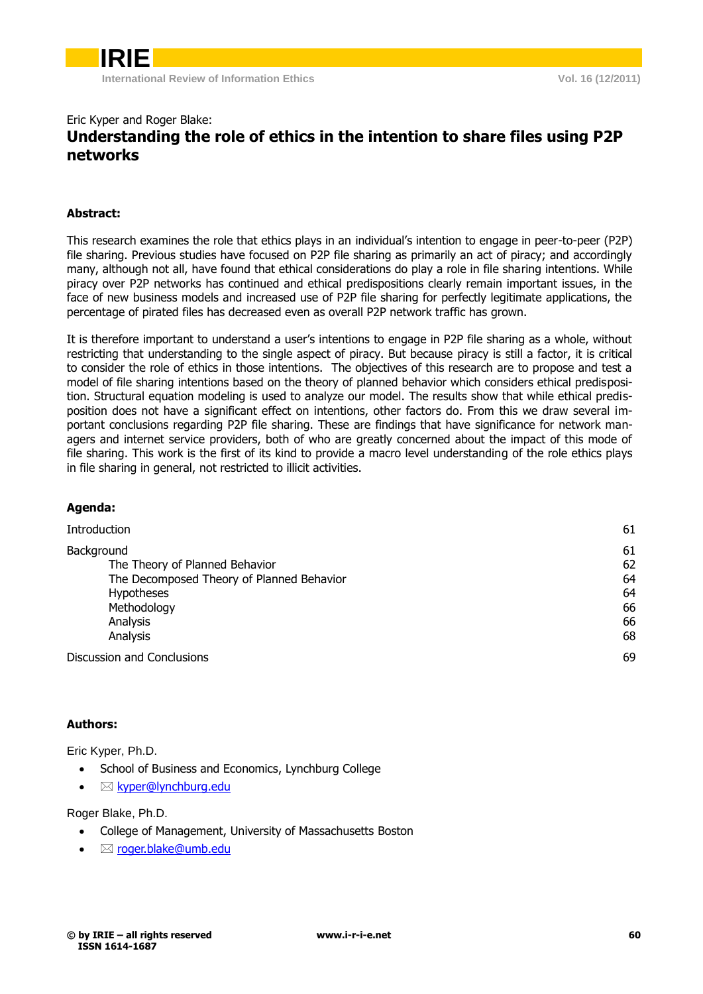# Eric Kyper and Roger Blake: **Understanding the role of ethics in the intention to share files using P2P networks**

# **Abstract:**

This research examines the role that ethics plays in an individual's intention to engage in peer-to-peer (P2P) file sharing. Previous studies have focused on P2P file sharing as primarily an act of piracy; and accordingly many, although not all, have found that ethical considerations do play a role in file sharing intentions. While piracy over P2P networks has continued and ethical predispositions clearly remain important issues, in the face of new business models and increased use of P2P file sharing for perfectly legitimate applications, the percentage of pirated files has decreased even as overall P2P network traffic has grown.

It is therefore important to understand a user's intentions to engage in P2P file sharing as a whole, without restricting that understanding to the single aspect of piracy. But because piracy is still a factor, it is critical to consider the role of ethics in those intentions. The objectives of this research are to propose and test a model of file sharing intentions based on the theory of planned behavior which considers ethical predisposition. Structural equation modeling is used to analyze our model. The results show that while ethical predisposition does not have a significant effect on intentions, other factors do. From this we draw several important conclusions regarding P2P file sharing. These are findings that have significance for network managers and internet service providers, both of who are greatly concerned about the impact of this mode of file sharing. This work is the first of its kind to provide a macro level understanding of the role ethics plays in file sharing in general, not restricted to illicit activities.

| Aqenua:                                                                                                                                               |                                        |
|-------------------------------------------------------------------------------------------------------------------------------------------------------|----------------------------------------|
| <b>Introduction</b>                                                                                                                                   | 61                                     |
| Background<br>The Theory of Planned Behavior<br>The Decomposed Theory of Planned Behavior<br><b>Hypotheses</b><br>Methodology<br>Analysis<br>Analysis | 61<br>62<br>64<br>64<br>66<br>66<br>68 |
| Discussion and Conclusions                                                                                                                            | 69                                     |
|                                                                                                                                                       |                                        |

#### **Authors:**

**Agenda:**

Eric Kyper, Ph.D.

- School of Business and Economics, Lynchburg College
- $\bullet \quad \boxtimes$  [kyper@lynchburg.edu](mailto:kyper@lynchburg.edu)

Roger Blake, Ph.D.

- College of Management, University of Massachusetts Boston
- [roger.blake@umb.edu](mailto:roger.blake@umb.edu)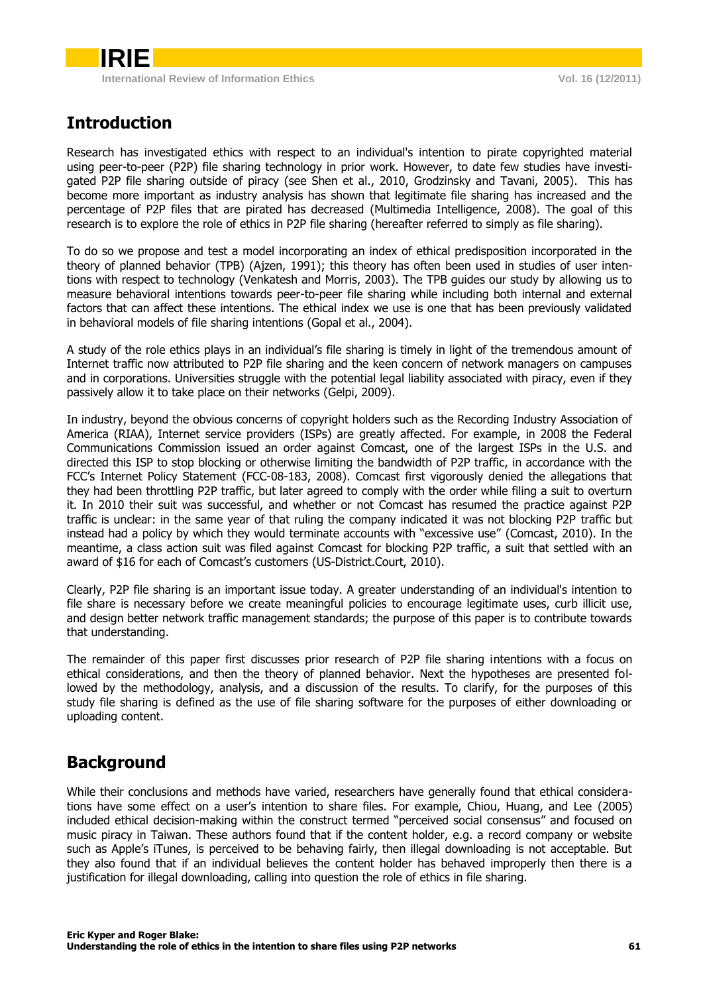# <span id="page-1-0"></span>**Introduction**

Research has investigated ethics with respect to an individual's intention to pirate copyrighted material using peer-to-peer (P2P) file sharing technology in prior work. However, to date few studies have investigated P2P file sharing outside of piracy (see Shen et al., 2010, Grodzinsky and Tavani, 2005). This has become more important as industry analysis has shown that legitimate file sharing has increased and the percentage of P2P files that are pirated has decreased (Multimedia Intelligence, 2008). The goal of this research is to explore the role of ethics in P2P file sharing (hereafter referred to simply as file sharing).

To do so we propose and test a model incorporating an index of ethical predisposition incorporated in the theory of planned behavior (TPB) (Ajzen, 1991); this theory has often been used in studies of user intentions with respect to technology (Venkatesh and Morris, 2003). The TPB guides our study by allowing us to measure behavioral intentions towards peer-to-peer file sharing while including both internal and external factors that can affect these intentions. The ethical index we use is one that has been previously validated in behavioral models of file sharing intentions (Gopal et al., 2004).

A study of the role ethics plays in an individual's file sharing is timely in light of the tremendous amount of Internet traffic now attributed to P2P file sharing and the keen concern of network managers on campuses and in corporations. Universities struggle with the potential legal liability associated with piracy, even if they passively allow it to take place on their networks (Gelpi, 2009).

In industry, beyond the obvious concerns of copyright holders such as the Recording Industry Association of America (RIAA), Internet service providers (ISPs) are greatly affected. For example, in 2008 the Federal Communications Commission issued an order against Comcast, one of the largest ISPs in the U.S. and directed this ISP to stop blocking or otherwise limiting the bandwidth of P2P traffic, in accordance with the FCC's Internet Policy Statement (FCC-08-183, 2008). Comcast first vigorously denied the allegations that they had been throttling P2P traffic, but later agreed to comply with the order while filing a suit to overturn it. In 2010 their suit was successful, and whether or not Comcast has resumed the practice against P2P traffic is unclear: in the same year of that ruling the company indicated it was not blocking P2P traffic but instead had a policy by which they would terminate accounts with "excessive use" (Comcast, 2010). In the meantime, a class action suit was filed against Comcast for blocking P2P traffic, a suit that settled with an award of \$16 for each of Comcast's customers (US-District.Court, 2010).

Clearly, P2P file sharing is an important issue today. A greater understanding of an individual's intention to file share is necessary before we create meaningful policies to encourage legitimate uses, curb illicit use, and design better network traffic management standards; the purpose of this paper is to contribute towards that understanding.

The remainder of this paper first discusses prior research of P2P file sharing intentions with a focus on ethical considerations, and then the theory of planned behavior. Next the hypotheses are presented followed by the methodology, analysis, and a discussion of the results. To clarify, for the purposes of this study file sharing is defined as the use of file sharing software for the purposes of either downloading or uploading content.

# <span id="page-1-1"></span>**Background**

While their conclusions and methods have varied, researchers have generally found that ethical considerations have some effect on a user's intention to share files. For example, Chiou, Huang, and Lee (2005) included ethical decision-making within the construct termed "perceived social consensus" and focused on music piracy in Taiwan. These authors found that if the content holder, e.g. a record company or website such as Apple's iTunes, is perceived to be behaving fairly, then illegal downloading is not acceptable. But they also found that if an individual believes the content holder has behaved improperly then there is a justification for illegal downloading, calling into question the role of ethics in file sharing.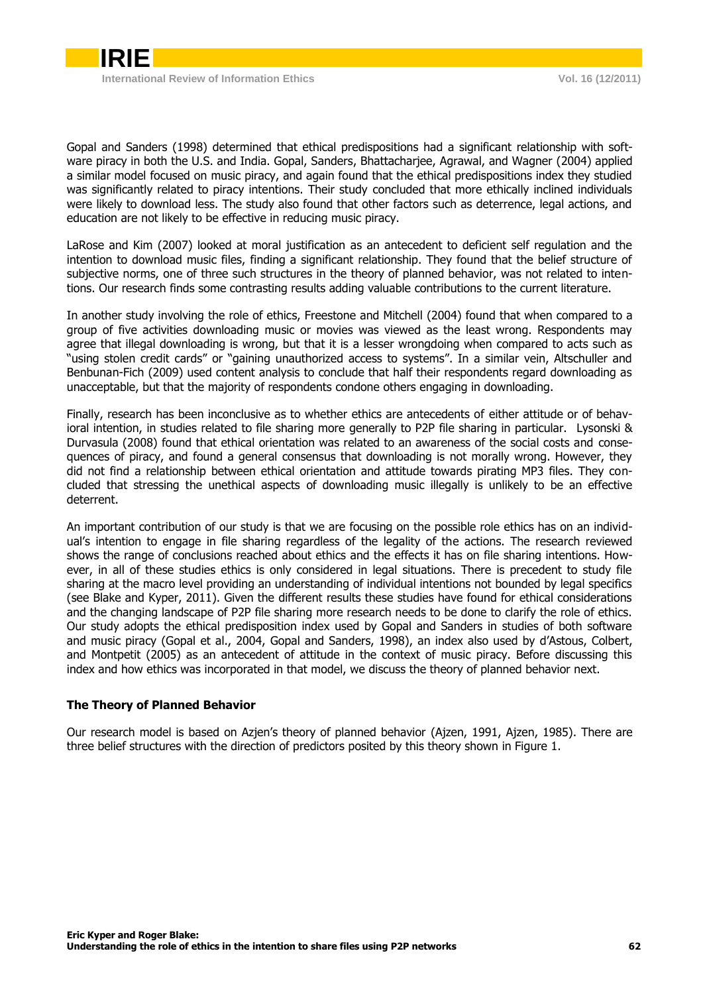

Gopal and Sanders (1998) determined that ethical predispositions had a significant relationship with software piracy in both the U.S. and India. Gopal, Sanders, Bhattacharjee, Agrawal, and Wagner (2004) applied a similar model focused on music piracy, and again found that the ethical predispositions index they studied was significantly related to piracy intentions. Their study concluded that more ethically inclined individuals were likely to download less. The study also found that other factors such as deterrence, legal actions, and education are not likely to be effective in reducing music piracy.

LaRose and Kim (2007) looked at moral justification as an antecedent to deficient self regulation and the intention to download music files, finding a significant relationship. They found that the belief structure of subjective norms, one of three such structures in the theory of planned behavior, was not related to intentions. Our research finds some contrasting results adding valuable contributions to the current literature.

In another study involving the role of ethics, Freestone and Mitchell (2004) found that when compared to a group of five activities downloading music or movies was viewed as the least wrong. Respondents may agree that illegal downloading is wrong, but that it is a lesser wrongdoing when compared to acts such as "using stolen credit cards" or "gaining unauthorized access to systems". In a similar vein, Altschuller and Benbunan-Fich (2009) used content analysis to conclude that half their respondents regard downloading as unacceptable, but that the majority of respondents condone others engaging in downloading.

Finally, research has been inconclusive as to whether ethics are antecedents of either attitude or of behavioral intention, in studies related to file sharing more generally to P2P file sharing in particular. Lysonski & Durvasula (2008) found that ethical orientation was related to an awareness of the social costs and consequences of piracy, and found a general consensus that downloading is not morally wrong. However, they did not find a relationship between ethical orientation and attitude towards pirating MP3 files. They concluded that stressing the unethical aspects of downloading music illegally is unlikely to be an effective deterrent.

An important contribution of our study is that we are focusing on the possible role ethics has on an individual's intention to engage in file sharing regardless of the legality of the actions. The research reviewed shows the range of conclusions reached about ethics and the effects it has on file sharing intentions. However, in all of these studies ethics is only considered in legal situations. There is precedent to study file sharing at the macro level providing an understanding of individual intentions not bounded by legal specifics (see Blake and Kyper, 2011). Given the different results these studies have found for ethical considerations and the changing landscape of P2P file sharing more research needs to be done to clarify the role of ethics. Our study adopts the ethical predisposition index used by Gopal and Sanders in studies of both software and music piracy (Gopal et al., 2004, Gopal and Sanders, 1998), an index also used by d'Astous, Colbert, and Montpetit (2005) as an antecedent of attitude in the context of music piracy. Before discussing this index and how ethics was incorporated in that model, we discuss the theory of planned behavior next.

#### <span id="page-2-0"></span>**The Theory of Planned Behavior**

Our research model is based on Azjen's theory of planned behavior (Ajzen, 1991, Ajzen, 1985). There are three belief structures with the direction of predictors posited by this theory shown in Figure 1.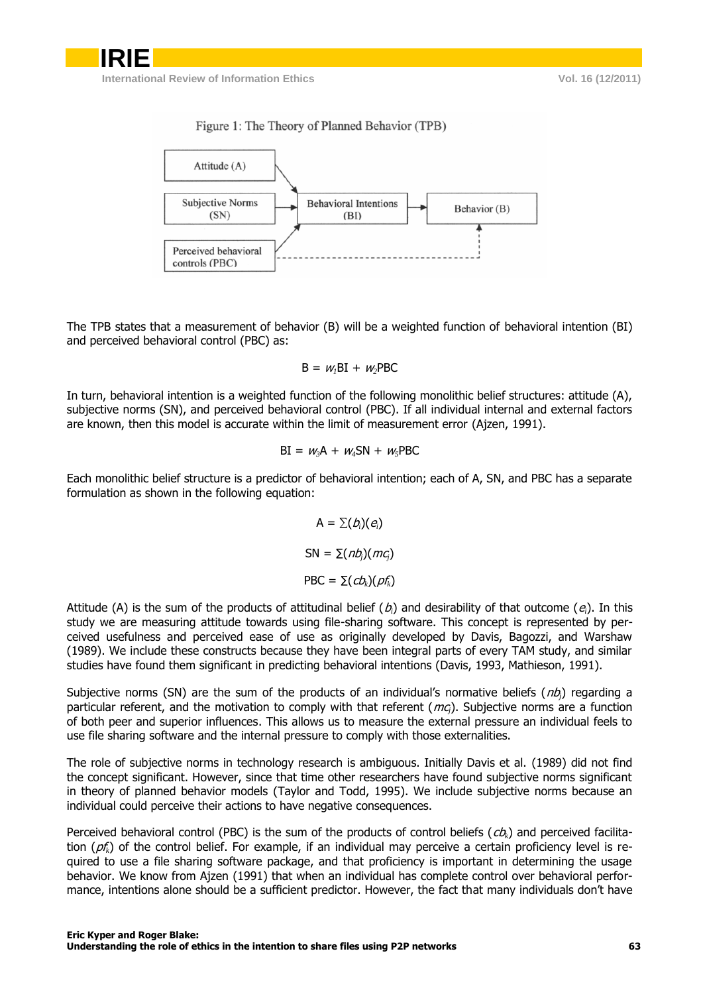### Figure 1: The Theory of Planned Behavior (TPB)



The TPB states that a measurement of behavior (B) will be a weighted function of behavioral intention (BI) and perceived behavioral control (PBC) as:

$$
B = wlBI + w2PBC
$$

In turn, behavioral intention is a weighted function of the following monolithic belief structures: attitude (A), subjective norms (SN), and perceived behavioral control (PBC). If all individual internal and external factors are known, then this model is accurate within the limit of measurement error (Ajzen, 1991).

$$
BI = w_3A + w_4SN + w_5PBC
$$

Each monolithic belief structure is a predictor of behavioral intention; each of A, SN, and PBC has a separate formulation as shown in the following equation:

> $A = \sum(b_i)(e_i)$  $SN = \sum (nb_i)(mc_i)$  $PBC = \sum (cb_i)(pf_i)$

Attitude (A) is the sum of the products of attitudinal belief  $(b_i)$  and desirability of that outcome  $(e_i)$ . In this study we are measuring attitude towards using file-sharing software. This concept is represented by perceived usefulness and perceived ease of use as originally developed by Davis, Bagozzi, and Warshaw (1989). We include these constructs because they have been integral parts of every TAM study, and similar studies have found them significant in predicting behavioral intentions (Davis, 1993, Mathieson, 1991).

Subjective norms (SN) are the sum of the products of an individual's normative beliefs (*nb*<sub>j</sub>) regarding a particular referent, and the motivation to comply with that referent (mc*j*). Subjective norms are a function of both peer and superior influences. This allows us to measure the external pressure an individual feels to use file sharing software and the internal pressure to comply with those externalities.

The role of subjective norms in technology research is ambiguous. Initially Davis et al. (1989) did not find the concept significant. However, since that time other researchers have found subjective norms significant in theory of planned behavior models (Taylor and Todd, 1995). We include subjective norms because an individual could perceive their actions to have negative consequences.

Perceived behavioral control (PBC) is the sum of the products of control beliefs (cb<sub>k</sub>) and perceived facilitation (pf*k*) of the control belief. For example, if an individual may perceive a certain proficiency level is required to use a file sharing software package, and that proficiency is important in determining the usage behavior. We know from Ajzen (1991) that when an individual has complete control over behavioral performance, intentions alone should be a sufficient predictor. However, the fact that many individuals don't have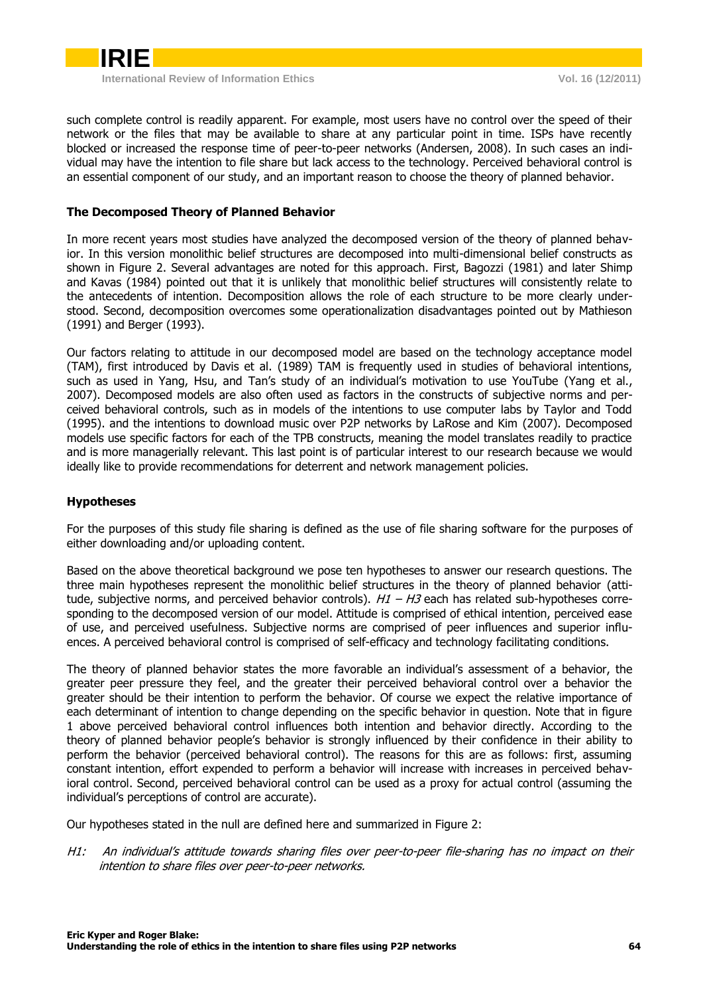

such complete control is readily apparent. For example, most users have no control over the speed of their network or the files that may be available to share at any particular point in time. ISPs have recently blocked or increased the response time of peer-to-peer networks (Andersen, 2008). In such cases an individual may have the intention to file share but lack access to the technology. Perceived behavioral control is an essential component of our study, and an important reason to choose the theory of planned behavior.

# <span id="page-4-0"></span>**The Decomposed Theory of Planned Behavior**

In more recent years most studies have analyzed the decomposed version of the theory of planned behavior. In this version monolithic belief structures are decomposed into multi-dimensional belief constructs as shown in Figure 2. Several advantages are noted for this approach. First, Bagozzi (1981) and later Shimp and Kavas (1984) pointed out that it is unlikely that monolithic belief structures will consistently relate to the antecedents of intention. Decomposition allows the role of each structure to be more clearly understood. Second, decomposition overcomes some operationalization disadvantages pointed out by Mathieson (1991) and Berger (1993).

Our factors relating to attitude in our decomposed model are based on the technology acceptance model (TAM), first introduced by Davis et al. (1989) TAM is frequently used in studies of behavioral intentions, such as used in Yang, Hsu, and Tan's study of an individual's motivation to use YouTube (Yang et al., 2007). Decomposed models are also often used as factors in the constructs of subjective norms and perceived behavioral controls, such as in models of the intentions to use computer labs by Taylor and Todd (1995). and the intentions to download music over P2P networks by LaRose and Kim (2007). Decomposed models use specific factors for each of the TPB constructs, meaning the model translates readily to practice and is more managerially relevant. This last point is of particular interest to our research because we would ideally like to provide recommendations for deterrent and network management policies.

# <span id="page-4-1"></span>**Hypotheses**

For the purposes of this study file sharing is defined as the use of file sharing software for the purposes of either downloading and/or uploading content.

Based on the above theoretical background we pose ten hypotheses to answer our research questions. The three main hypotheses represent the monolithic belief structures in the theory of planned behavior (attitude, subjective norms, and perceived behavior controls).  $H1 - H3$  each has related sub-hypotheses corresponding to the decomposed version of our model. Attitude is comprised of ethical intention, perceived ease of use, and perceived usefulness. Subjective norms are comprised of peer influences and superior influences. A perceived behavioral control is comprised of self-efficacy and technology facilitating conditions.

The theory of planned behavior states the more favorable an individual's assessment of a behavior, the greater peer pressure they feel, and the greater their perceived behavioral control over a behavior the greater should be their intention to perform the behavior. Of course we expect the relative importance of each determinant of intention to change depending on the specific behavior in question. Note that in figure 1 above perceived behavioral control influences both intention and behavior directly. According to the theory of planned behavior people's behavior is strongly influenced by their confidence in their ability to perform the behavior (perceived behavioral control). The reasons for this are as follows: first, assuming constant intention, effort expended to perform a behavior will increase with increases in perceived behavioral control. Second, perceived behavioral control can be used as a proxy for actual control (assuming the individual's perceptions of control are accurate).

Our hypotheses stated in the null are defined here and summarized in Figure 2:

H1: An individual's attitude towards sharing files over peer-to-peer file-sharing has no impact on their intention to share files over peer-to-peer networks.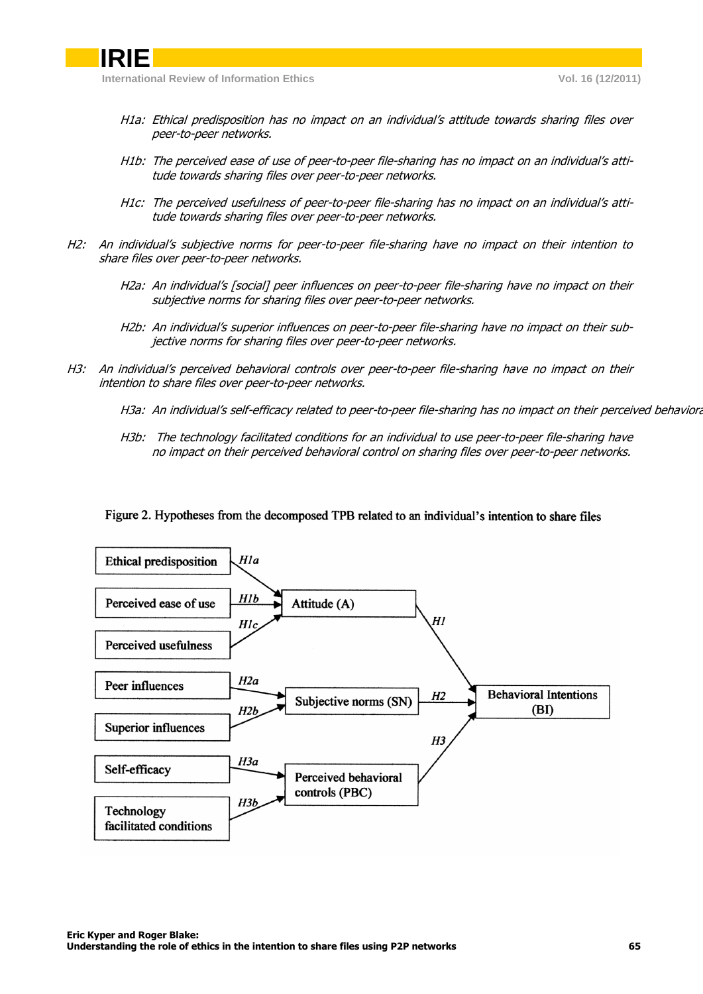

- H1a: Ethical predisposition has no impact on an individual's attitude towards sharing files over peer-to-peer networks.
- H1b: The perceived ease of use of peer-to-peer file-sharing has no impact on an individual's attitude towards sharing files over peer-to-peer networks.
- H1c: The perceived usefulness of peer-to-peer file-sharing has no impact on an individual's attitude towards sharing files over peer-to-peer networks.
- H2: An individual's subjective norms for peer-to-peer file-sharing have no impact on their intention to share files over peer-to-peer networks.
	- H2a: An individual's [social] peer influences on peer-to-peer file-sharing have no impact on their subjective norms for sharing files over peer-to-peer networks.
	- H2b: An individual's superior influences on peer-to-peer file-sharing have no impact on their subjective norms for sharing files over peer-to-peer networks.
- H3: An individual's perceived behavioral controls over peer-to-peer file-sharing have no impact on their intention to share files over peer-to-peer networks.
	- H3a: An individual's self-efficacy related to peer-to-peer file-sharing has no impact on their perceived behaviora
	- H3b: The technology facilitated conditions for an individual to use peer-to-peer file-sharing have no impact on their perceived behavioral control on sharing files over peer-to-peer networks.
	- Figure 2. Hypotheses from the decomposed TPB related to an individual's intention to share files

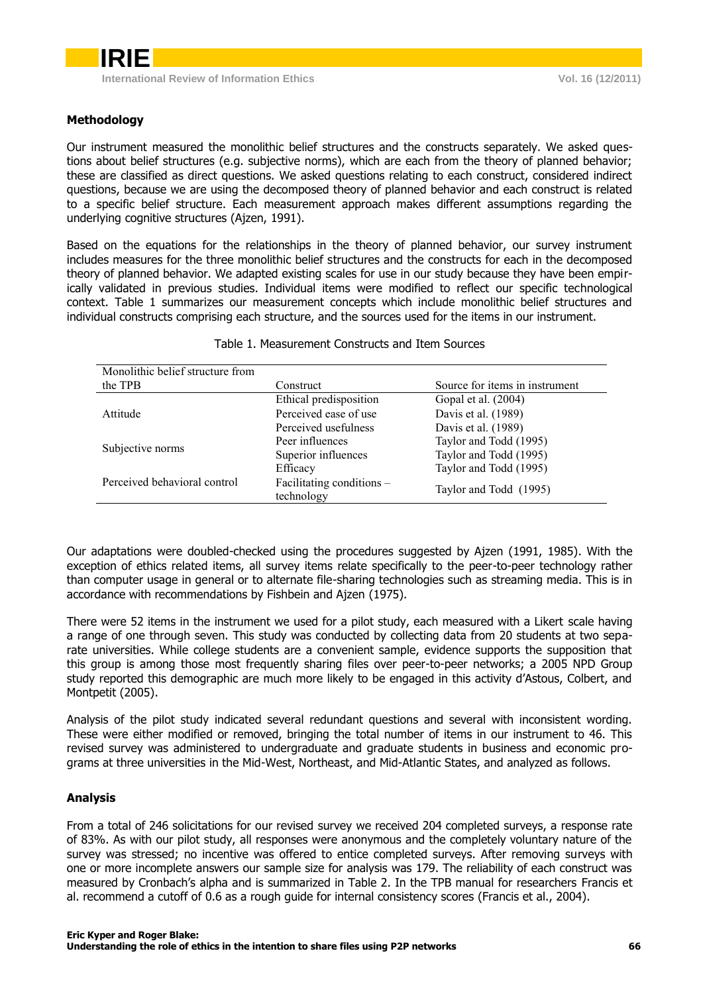# <span id="page-6-0"></span>**Methodology**

Our instrument measured the monolithic belief structures and the constructs separately. We asked questions about belief structures (e.g. subjective norms), which are each from the theory of planned behavior; these are classified as direct questions. We asked questions relating to each construct, considered indirect questions, because we are using the decomposed theory of planned behavior and each construct is related to a specific belief structure. Each measurement approach makes different assumptions regarding the underlying cognitive structures (Ajzen, 1991).

Based on the equations for the relationships in the theory of planned behavior, our survey instrument includes measures for the three monolithic belief structures and the constructs for each in the decomposed theory of planned behavior. We adapted existing scales for use in our study because they have been empirically validated in previous studies. Individual items were modified to reflect our specific technological context. Table 1 summarizes our measurement concepts which include monolithic belief structures and individual constructs comprising each structure, and the sources used for the items in our instrument.

| Monolithic belief structure from |                           |                                |  |  |
|----------------------------------|---------------------------|--------------------------------|--|--|
| the TPB                          | Construct                 | Source for items in instrument |  |  |
|                                  | Ethical predisposition    | Gopal et al. (2004)            |  |  |
| Attitude                         | Perceived ease of use     | Davis et al. (1989)            |  |  |
|                                  | Perceived usefulness      | Davis et al. (1989)            |  |  |
|                                  | Peer influences           | Taylor and Todd (1995)         |  |  |
| Subjective norms                 | Superior influences       | Taylor and Todd (1995)         |  |  |
|                                  | Efficacy                  | Taylor and Todd (1995)         |  |  |
| Perceived behavioral control     | Facilitating conditions - |                                |  |  |
|                                  | technology                | Taylor and Todd (1995)         |  |  |

#### Table 1. Measurement Constructs and Item Sources

Our adaptations were doubled-checked using the procedures suggested by Ajzen (1991, 1985). With the exception of ethics related items, all survey items relate specifically to the peer-to-peer technology rather than computer usage in general or to alternate file-sharing technologies such as streaming media. This is in accordance with recommendations by Fishbein and Ajzen (1975).

There were 52 items in the instrument we used for a pilot study, each measured with a Likert scale having a range of one through seven. This study was conducted by collecting data from 20 students at two separate universities. While college students are a convenient sample, evidence supports the supposition that this group is among those most frequently sharing files over peer-to-peer networks; a 2005 NPD Group study reported this demographic are much more likely to be engaged in this activity d'Astous, Colbert, and Montpetit (2005).

Analysis of the pilot study indicated several redundant questions and several with inconsistent wording. These were either modified or removed, bringing the total number of items in our instrument to 46. This revised survey was administered to undergraduate and graduate students in business and economic programs at three universities in the Mid-West, Northeast, and Mid-Atlantic States, and analyzed as follows.

# <span id="page-6-1"></span>**Analysis**

From a total of 246 solicitations for our revised survey we received 204 completed surveys, a response rate of 83%. As with our pilot study, all responses were anonymous and the completely voluntary nature of the survey was stressed; no incentive was offered to entice completed surveys. After removing surveys with one or more incomplete answers our sample size for analysis was 179. The reliability of each construct was measured by Cronbach's alpha and is summarized in Table 2. In the TPB manual for researchers Francis et al. recommend a cutoff of 0.6 as a rough guide for internal consistency scores (Francis et al., 2004).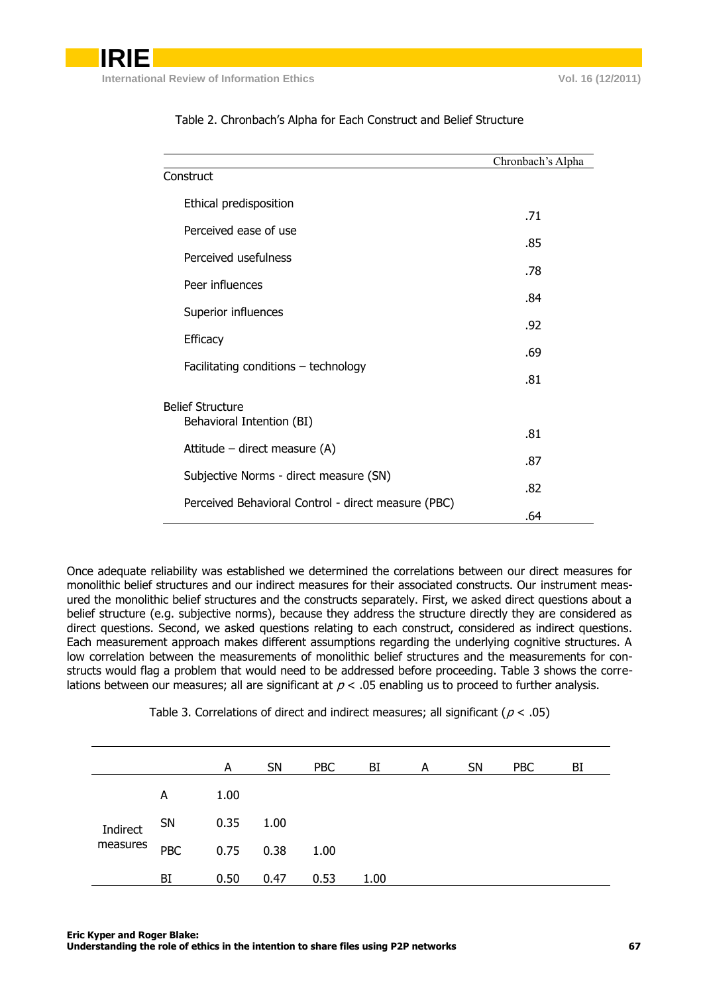|                                                     | Chronbach's Alpha |
|-----------------------------------------------------|-------------------|
| Construct                                           |                   |
| Ethical predisposition                              |                   |
| Perceived ease of use                               | .71               |
| Perceived usefulness                                | .85               |
|                                                     | .78               |
| Peer influences                                     | .84               |
| Superior influences                                 | .92               |
| <b>Efficacy</b>                                     |                   |
| Facilitating conditions - technology                | .69               |
|                                                     | .81               |
| <b>Belief Structure</b>                             |                   |
| Behavioral Intention (BI)                           | .81               |
| Attitude – direct measure (A)                       | .87               |
| Subjective Norms - direct measure (SN)              |                   |
| Perceived Behavioral Control - direct measure (PBC) | .82               |
|                                                     | .64               |

### Table 2. Chronbach's Alpha for Each Construct and Belief Structure

Once adequate reliability was established we determined the correlations between our direct measures for monolithic belief structures and our indirect measures for their associated constructs. Our instrument measured the monolithic belief structures and the constructs separately. First, we asked direct questions about a belief structure (e.g. subjective norms), because they address the structure directly they are considered as direct questions. Second, we asked questions relating to each construct, considered as indirect questions. Each measurement approach makes different assumptions regarding the underlying cognitive structures. A low correlation between the measurements of monolithic belief structures and the measurements for constructs would flag a problem that would need to be addressed before proceeding. Table 3 shows the correlations between our measures; all are significant at  $p < .05$  enabling us to proceed to further analysis.

Table 3. Correlations of direct and indirect measures; all significant ( $p < .05$ )

|          |            | A    | <b>SN</b> | <b>PBC</b> | BI   | A | <b>SN</b> | <b>PBC</b> | BI |
|----------|------------|------|-----------|------------|------|---|-----------|------------|----|
|          | A          | 1.00 |           |            |      |   |           |            |    |
| Indirect | SN         | 0.35 | 1.00      |            |      |   |           |            |    |
| measures | <b>PBC</b> | 0.75 | 0.38      | 1.00       |      |   |           |            |    |
|          | BI         | 0.50 | 0.47      | 0.53       | 1.00 |   |           |            |    |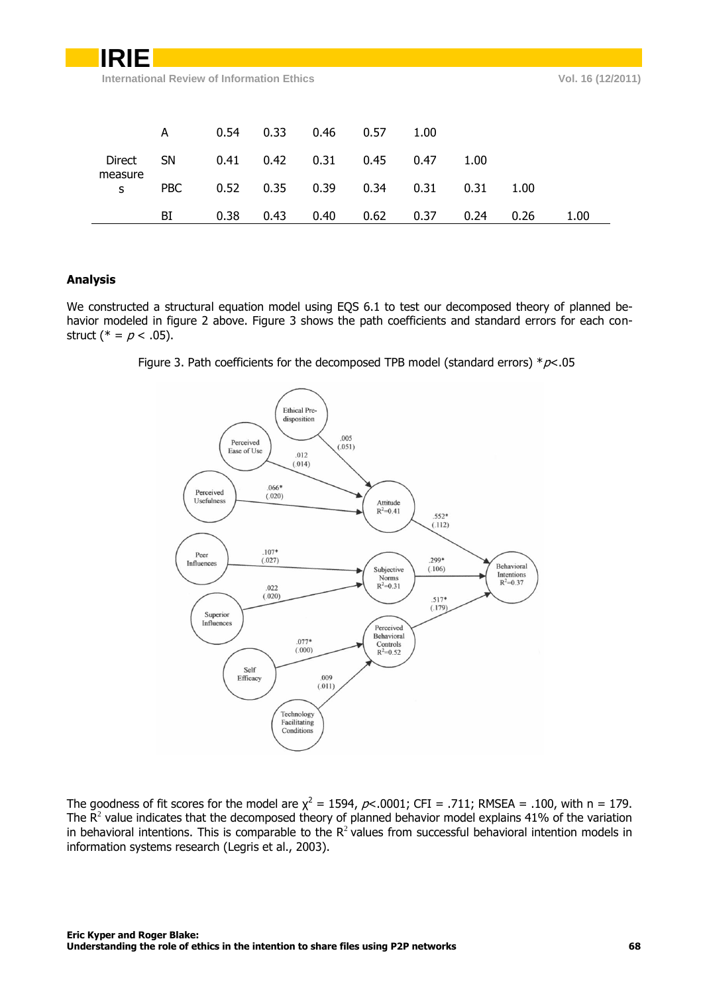| IRIE         |            |                                            |      |      |      |      |      |      |                   |  |
|--------------|------------|--------------------------------------------|------|------|------|------|------|------|-------------------|--|
|              |            | International Review of Information Ethics |      |      |      |      |      |      | Vol. 16 (12/2011) |  |
|              |            |                                            |      |      |      |      |      |      |                   |  |
|              |            |                                            |      |      |      |      |      |      |                   |  |
|              | A          | 0.54                                       | 0.33 | 0.46 | 0.57 | 1.00 |      |      |                   |  |
| Direct       | <b>SN</b>  | 0.41                                       | 0.42 | 0.31 | 0.45 | 0.47 | 1.00 |      |                   |  |
| measure<br>S | <b>PBC</b> | 0.52                                       | 0.35 | 0.39 | 0.34 | 0.31 | 0.31 | 1.00 |                   |  |
|              | BI         | 0.38                                       | 0.43 | 0.40 | 0.62 | 0.37 | 0.24 | 0.26 | 1.00              |  |

# <span id="page-8-0"></span>**Analysis**

We constructed a structural equation model using EQS 6.1 to test our decomposed theory of planned behavior modeled in figure 2 above. Figure 3 shows the path coefficients and standard errors for each construct (\* =  $p$  < .05).





The goodness of fit scores for the model are  $\chi^2 = 1594$ ,  $\rho$ <.0001; CFI = .711; RMSEA = .100, with n = 179. The  $\mathsf{R}^2$  value indicates that the decomposed theory of planned behavior model explains 41% of the variation in behavioral intentions. This is comparable to the  $R^2$  values from successful behavioral intention models in information systems research (Legris et al., 2003).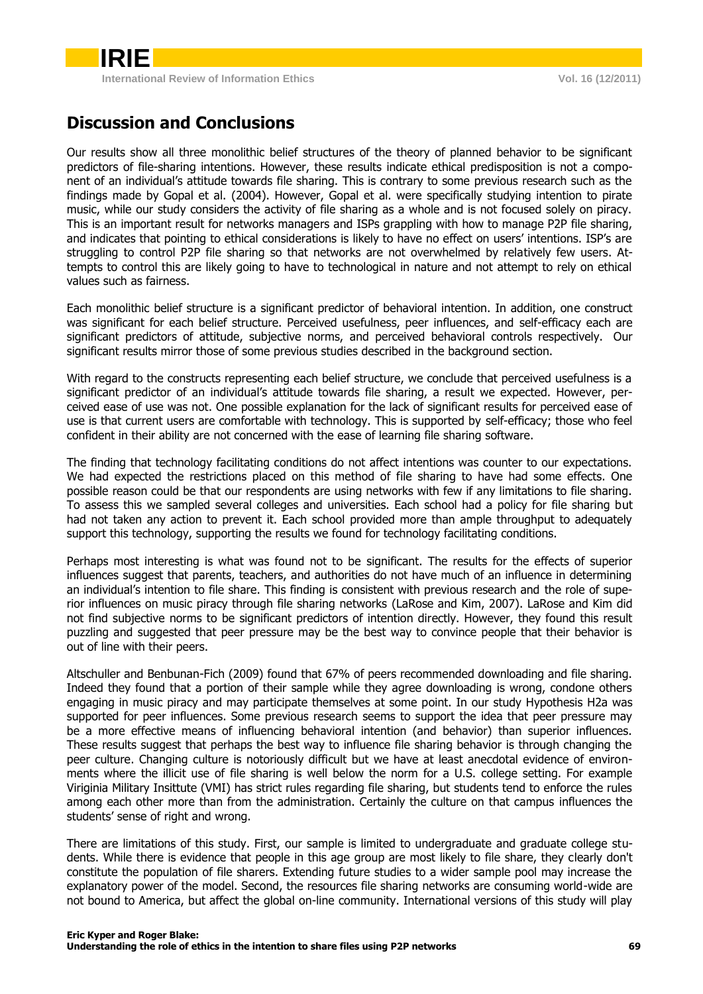

# <span id="page-9-0"></span>**Discussion and Conclusions**

Our results show all three monolithic belief structures of the theory of planned behavior to be significant predictors of file-sharing intentions. However, these results indicate ethical predisposition is not a component of an individual's attitude towards file sharing. This is contrary to some previous research such as the findings made by Gopal et al. (2004). However, Gopal et al. were specifically studying intention to pirate music, while our study considers the activity of file sharing as a whole and is not focused solely on piracy. This is an important result for networks managers and ISPs grappling with how to manage P2P file sharing, and indicates that pointing to ethical considerations is likely to have no effect on users' intentions. ISP's are struggling to control P2P file sharing so that networks are not overwhelmed by relatively few users. Attempts to control this are likely going to have to technological in nature and not attempt to rely on ethical values such as fairness.

Each monolithic belief structure is a significant predictor of behavioral intention. In addition, one construct was significant for each belief structure. Perceived usefulness, peer influences, and self-efficacy each are significant predictors of attitude, subjective norms, and perceived behavioral controls respectively. Our significant results mirror those of some previous studies described in the background section.

With regard to the constructs representing each belief structure, we conclude that perceived usefulness is a significant predictor of an individual's attitude towards file sharing, a result we expected. However, perceived ease of use was not. One possible explanation for the lack of significant results for perceived ease of use is that current users are comfortable with technology. This is supported by self-efficacy; those who feel confident in their ability are not concerned with the ease of learning file sharing software.

The finding that technology facilitating conditions do not affect intentions was counter to our expectations. We had expected the restrictions placed on this method of file sharing to have had some effects. One possible reason could be that our respondents are using networks with few if any limitations to file sharing. To assess this we sampled several colleges and universities. Each school had a policy for file sharing but had not taken any action to prevent it. Each school provided more than ample throughput to adequately support this technology, supporting the results we found for technology facilitating conditions.

Perhaps most interesting is what was found not to be significant. The results for the effects of superior influences suggest that parents, teachers, and authorities do not have much of an influence in determining an individual's intention to file share. This finding is consistent with previous research and the role of superior influences on music piracy through file sharing networks (LaRose and Kim, 2007). LaRose and Kim did not find subjective norms to be significant predictors of intention directly. However, they found this result puzzling and suggested that peer pressure may be the best way to convince people that their behavior is out of line with their peers.

Altschuller and Benbunan-Fich (2009) found that 67% of peers recommended downloading and file sharing. Indeed they found that a portion of their sample while they agree downloading is wrong, condone others engaging in music piracy and may participate themselves at some point. In our study Hypothesis H2a was supported for peer influences. Some previous research seems to support the idea that peer pressure may be a more effective means of influencing behavioral intention (and behavior) than superior influences. These results suggest that perhaps the best way to influence file sharing behavior is through changing the peer culture. Changing culture is notoriously difficult but we have at least anecdotal evidence of environments where the illicit use of file sharing is well below the norm for a U.S. college setting. For example Viriginia Military Insittute (VMI) has strict rules regarding file sharing, but students tend to enforce the rules among each other more than from the administration. Certainly the culture on that campus influences the students' sense of right and wrong.

There are limitations of this study. First, our sample is limited to undergraduate and graduate college students. While there is evidence that people in this age group are most likely to file share, they clearly don't constitute the population of file sharers. Extending future studies to a wider sample pool may increase the explanatory power of the model. Second, the resources file sharing networks are consuming world-wide are not bound to America, but affect the global on-line community. International versions of this study will play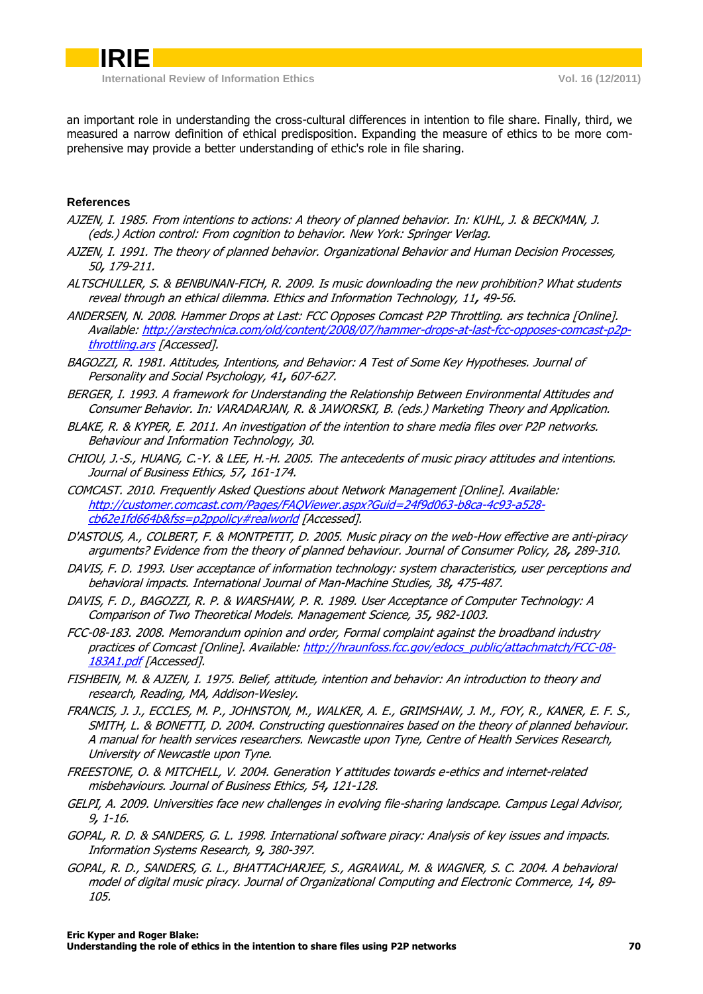an important role in understanding the cross-cultural differences in intention to file share. Finally, third, we measured a narrow definition of ethical predisposition. Expanding the measure of ethics to be more comprehensive may provide a better understanding of ethic's role in file sharing.

# **References**

- AJZEN, I. 1985. From intentions to actions: A theory of planned behavior. In: KUHL, J. & BECKMAN, J. (eds.) Action control: From cognition to behavior. New York: Springer Verlag.
- AJZEN, I. 1991. The theory of planned behavior. Organizational Behavior and Human Decision Processes, 50**,** 179-211.
- ALTSCHULLER, S. & BENBUNAN-FICH, R. 2009. Is music downloading the new prohibition? What students reveal through an ethical dilemma. Ethics and Information Technology, 11**,** 49-56.
- ANDERSEN, N. 2008. Hammer Drops at Last: FCC Opposes Comcast P2P Throttling. ars technica [Online]. Available: [http://arstechnica.com/old/content/2008/07/hammer-drops-at-last-fcc-opposes-comcast-p2p](http://arstechnica.com/old/content/2008/07/hammer-drops-at-last-fcc-opposes-comcast-p2p-throttling.ars)[throttling.ars](http://arstechnica.com/old/content/2008/07/hammer-drops-at-last-fcc-opposes-comcast-p2p-throttling.ars) [Accessed].
- BAGOZZI, R. 1981. Attitudes, Intentions, and Behavior: A Test of Some Key Hypotheses. Journal of Personality and Social Psychology, 41**,** 607-627.
- BERGER, I. 1993. A framework for Understanding the Relationship Between Environmental Attitudes and Consumer Behavior. In: VARADARJAN, R. & JAWORSKI, B. (eds.) Marketing Theory and Application.
- BLAKE, R. & KYPER, E. 2011. An investigation of the intention to share media files over P2P networks. Behaviour and Information Technology, 30.
- CHIOU, J.-S., HUANG, C.-Y. & LEE, H.-H. 2005. The antecedents of music piracy attitudes and intentions. Journal of Business Ethics, 57**,** 161-174.
- COMCAST. 2010. Frequently Asked Questions about Network Management [Online]. Available: [http://customer.comcast.com/Pages/FAQViewer.aspx?Guid=24f9d063-b8ca-4c93-a528](http://customer.comcast.com/Pages/FAQViewer.aspx?Guid=24f9d063-b8ca-4c93-a528-cb62e1fd664b&fss=p2ppolicy#realworld) [cb62e1fd664b&fss=p2ppolicy#realworld](http://customer.comcast.com/Pages/FAQViewer.aspx?Guid=24f9d063-b8ca-4c93-a528-cb62e1fd664b&fss=p2ppolicy#realworld) [Accessed].
- D'ASTOUS, A., COLBERT, F. & MONTPETIT, D. 2005. Music piracy on the web-How effective are anti-piracy arguments? Evidence from the theory of planned behaviour. Journal of Consumer Policy, 28**,** 289-310.
- DAVIS, F. D. 1993. User acceptance of information technology: system characteristics, user perceptions and behavioral impacts. International Journal of Man-Machine Studies, 38**,** 475-487.
- DAVIS, F. D., BAGOZZI, R. P. & WARSHAW, P. R. 1989. User Acceptance of Computer Technology: A Comparison of Two Theoretical Models. Management Science, 35**,** 982-1003.
- FCC-08-183. 2008. Memorandum opinion and order, Formal complaint against the broadband industry practices of Comcast [Online]. Available[: http://hraunfoss.fcc.gov/edocs\\_public/attachmatch/FCC-08-](http://hraunfoss.fcc.gov/edocs_public/attachmatch/FCC-08-183A1.pdf) [183A1.pdf](http://hraunfoss.fcc.gov/edocs_public/attachmatch/FCC-08-183A1.pdf) [Accessed].
- FISHBEIN, M. & AJZEN, I. 1975. Belief, attitude, intention and behavior: An introduction to theory and research, Reading, MA, Addison-Wesley.
- FRANCIS, J. J., ECCLES, M. P., JOHNSTON, M., WALKER, A. E., GRIMSHAW, J. M., FOY, R., KANER, E. F. S., SMITH, L. & BONETTI, D. 2004. Constructing questionnaires based on the theory of planned behaviour. A manual for health services researchers. Newcastle upon Tyne, Centre of Health Services Research, University of Newcastle upon Tyne.
- FREESTONE, O. & MITCHELL, V. 2004. Generation Y attitudes towards e-ethics and internet-related misbehaviours. Journal of Business Ethics, 54**,** 121-128.
- GELPI, A. 2009. Universities face new challenges in evolving file-sharing landscape. Campus Legal Advisor, 9**,** 1-16.
- GOPAL, R. D. & SANDERS, G. L. 1998. International software piracy: Analysis of key issues and impacts. Information Systems Research, 9**,** 380-397.
- GOPAL, R. D., SANDERS, G. L., BHATTACHARJEE, S., AGRAWAL, M. & WAGNER, S. C. 2004. A behavioral model of digital music piracy. Journal of Organizational Computing and Electronic Commerce, 14**,** 89- 105.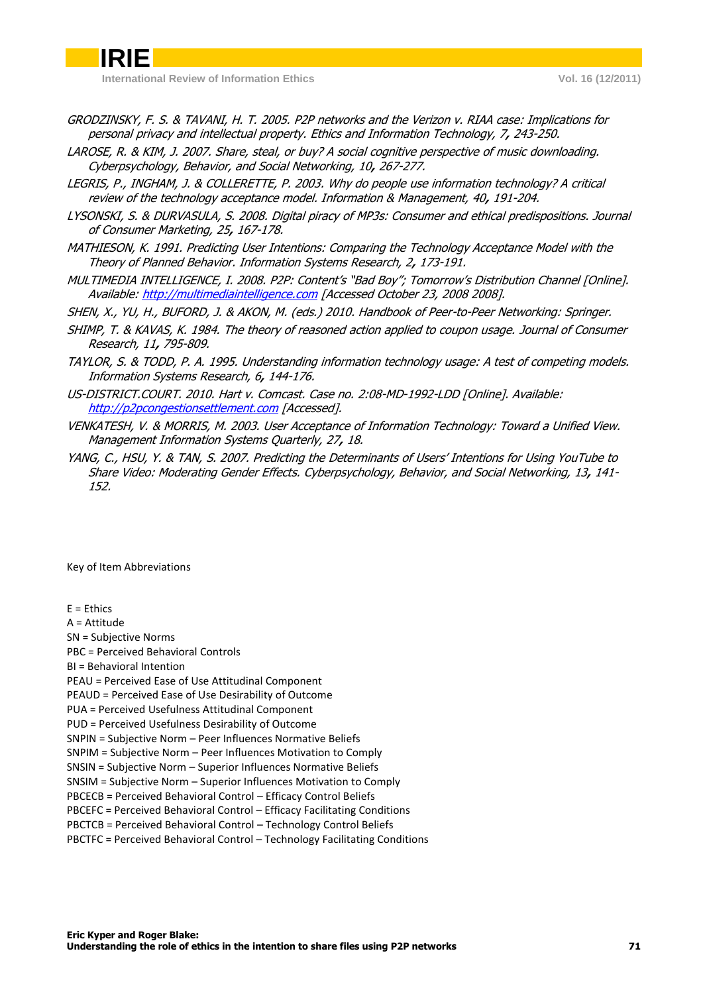- GRODZINSKY, F. S. & TAVANI, H. T. 2005. P2P networks and the Verizon v. RIAA case: Implications for personal privacy and intellectual property. Ethics and Information Technology, 7**,** 243-250.
- LAROSE, R. & KIM, J. 2007. Share, steal, or buy? A social cognitive perspective of music downloading. Cyberpsychology, Behavior, and Social Networking, 10**,** 267-277.
- LEGRIS, P., INGHAM, J. & COLLERETTE, P. 2003. Why do people use information technology? A critical review of the technology acceptance model. Information & Management, 40**,** 191-204.
- LYSONSKI, S. & DURVASULA, S. 2008. Digital piracy of MP3s: Consumer and ethical predispositions. Journal of Consumer Marketing, 25**,** 167-178.
- MATHIESON, K. 1991. Predicting User Intentions: Comparing the Technology Acceptance Model with the Theory of Planned Behavior. Information Systems Research, 2**,** 173-191.
- MULTIMEDIA INTELLIGENCE, I. 2008. P2P: Content's "Bad Boy"; Tomorrow's Distribution Channel [Online]. Available: [http://multimediaintelligence.com](http://multimediaintelligence.com/) [Accessed October 23, 2008 2008].
- SHEN, X., YU, H., BUFORD, J. & AKON, M. (eds.) 2010. Handbook of Peer-to-Peer Networking: Springer.
- SHIMP, T. & KAVAS, K. 1984. The theory of reasoned action applied to coupon usage. Journal of Consumer Research, 11**,** 795-809.
- TAYLOR, S. & TODD, P. A. 1995. Understanding information technology usage: A test of competing models. Information Systems Research, 6**,** 144-176.
- US-DISTRICT.COURT. 2010. Hart v. Comcast. Case no. 2:08-MD-1992-LDD [Online]. Available: [http://p2pcongestionsettlement.com](http://p2pcongestionsettlement.com/) [Accessed].
- VENKATESH, V. & MORRIS, M. 2003. User Acceptance of Information Technology: Toward a Unified View. Management Information Systems Quarterly, 27**,** 18.
- YANG, C., HSU, Y. & TAN, S. 2007. Predicting the Determinants of Users' Intentions for Using YouTube to Share Video: Moderating Gender Effects. Cyberpsychology, Behavior, and Social Networking, 13**,** 141- 152.

#### Key of Item Abbreviations

 $E =$ Ethics A = Attitude SN = Subjective Norms PBC = Perceived Behavioral Controls BI = Behavioral Intention PEAU = Perceived Ease of Use Attitudinal Component PEAUD = Perceived Ease of Use Desirability of Outcome PUA = Perceived Usefulness Attitudinal Component PUD = Perceived Usefulness Desirability of Outcome SNPIN = Subjective Norm – Peer Influences Normative Beliefs SNPIM = Subjective Norm – Peer Influences Motivation to Comply SNSIN = Subjective Norm – Superior Influences Normative Beliefs SNSIM = Subjective Norm – Superior Influences Motivation to Comply PBCECB = Perceived Behavioral Control – Efficacy Control Beliefs PBCEFC = Perceived Behavioral Control – Efficacy Facilitating Conditions PBCTCB = Perceived Behavioral Control – Technology Control Beliefs PBCTFC = Perceived Behavioral Control – Technology Facilitating Conditions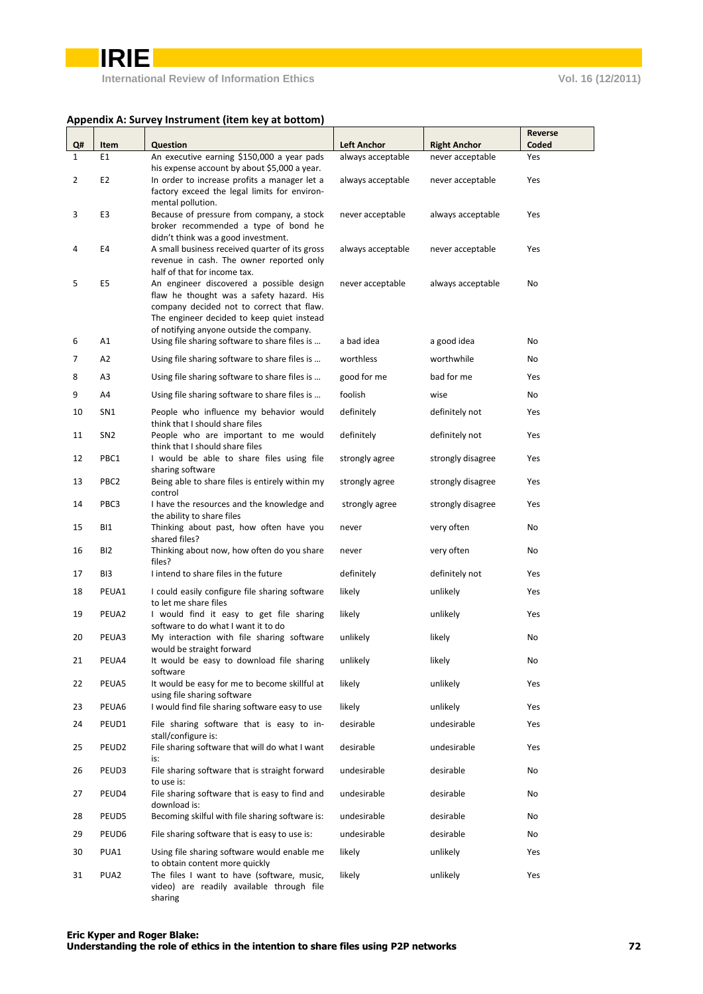### **Appendix A: Survey Instrument (item key at bottom)**

|          |                          |                                                                                                                                                                                                                             |                                  |                                        | Reverse    |
|----------|--------------------------|-----------------------------------------------------------------------------------------------------------------------------------------------------------------------------------------------------------------------------|----------------------------------|----------------------------------------|------------|
| Q#       | Item                     | <b>Question</b>                                                                                                                                                                                                             | <b>Left Anchor</b>               | <b>Right Anchor</b>                    | Coded      |
| 1        | E1                       | An executive earning \$150,000 a year pads                                                                                                                                                                                  | always acceptable                | never acceptable                       | Yes        |
| 2        | E <sub>2</sub>           | his expense account by about \$5,000 a year.<br>In order to increase profits a manager let a<br>factory exceed the legal limits for environ-                                                                                | always acceptable                | never acceptable                       | Yes        |
| 3        | E3                       | mental pollution.<br>Because of pressure from company, a stock<br>broker recommended a type of bond he<br>didn't think was a good investment.                                                                               | never acceptable                 | always acceptable                      | Yes        |
| 4        | E4                       | A small business received quarter of its gross<br>revenue in cash. The owner reported only<br>half of that for income tax.                                                                                                  | always acceptable                | never acceptable                       | Yes        |
| 5        | E <sub>5</sub>           | An engineer discovered a possible design<br>flaw he thought was a safety hazard. His<br>company decided not to correct that flaw.<br>The engineer decided to keep quiet instead<br>of notifying anyone outside the company. | never acceptable                 | always acceptable                      | No         |
| 6        | A1                       | Using file sharing software to share files is                                                                                                                                                                               | a bad idea                       | a good idea                            | No         |
| 7        | A <sub>2</sub>           | Using file sharing software to share files is                                                                                                                                                                               | worthless                        | worthwhile                             | No         |
| 8        | A3                       | Using file sharing software to share files is                                                                                                                                                                               | good for me                      | bad for me                             | Yes        |
| 9        | A4                       | Using file sharing software to share files is                                                                                                                                                                               | foolish                          | wise                                   | No         |
| 10       | SN <sub>1</sub>          | People who influence my behavior would                                                                                                                                                                                      | definitely                       | definitely not                         | Yes        |
| 11       | SN <sub>2</sub>          | think that I should share files<br>People who are important to me would                                                                                                                                                     | definitely                       | definitely not                         | Yes        |
|          |                          | think that I should share files                                                                                                                                                                                             |                                  |                                        |            |
| 12<br>13 | PBC1<br>PBC <sub>2</sub> | I would be able to share files using file<br>sharing software<br>Being able to share files is entirely within my                                                                                                            | strongly agree<br>strongly agree | strongly disagree<br>strongly disagree | Yes<br>Yes |
|          |                          | control                                                                                                                                                                                                                     |                                  |                                        |            |
| 14<br>15 | PBC3<br>BI1              | I have the resources and the knowledge and<br>the ability to share files                                                                                                                                                    | strongly agree                   | strongly disagree                      | Yes        |
|          |                          | Thinking about past, how often have you<br>shared files?                                                                                                                                                                    | never                            | very often                             | No         |
| 16       | BI <sub>2</sub>          | Thinking about now, how often do you share<br>files?                                                                                                                                                                        | never                            | very often                             | No         |
| 17       | BI3                      | I intend to share files in the future                                                                                                                                                                                       | definitely                       | definitely not                         | Yes        |
| 18       | PEUA1                    | I could easily configure file sharing software<br>to let me share files                                                                                                                                                     | likely                           | unlikely                               | Yes        |
| 19       | PEUA2                    | I would find it easy to get file sharing                                                                                                                                                                                    | likely                           | unlikely                               | Yes        |
| 20       | PEUA3                    | software to do what I want it to do<br>My interaction with file sharing software<br>would be straight forward                                                                                                               | unlikely                         | likely                                 | No         |
| 21       | PEUA4                    | It would be easy to download file sharing<br>software                                                                                                                                                                       | unlikely                         | likely                                 | No         |
| 22       | PEUA5                    | It would be easy for me to become skillful at                                                                                                                                                                               | likely                           | unlikely                               | Yes        |
| 23       | PEUA6                    | using file sharing software<br>I would find file sharing software easy to use                                                                                                                                               | likely                           | unlikely                               | Yes        |
| 24       | PEUD1                    | File sharing software that is easy to in-<br>stall/configure is:                                                                                                                                                            | desirable                        | undesirable                            | Yes        |
| 25       | PEUD <sub>2</sub>        | File sharing software that will do what I want<br>is:                                                                                                                                                                       | desirable                        | undesirable                            | Yes        |
| 26       | PEUD3                    | File sharing software that is straight forward<br>to use is:                                                                                                                                                                | undesirable                      | desirable                              | No         |
| 27       | PEUD4                    | File sharing software that is easy to find and<br>download is:                                                                                                                                                              | undesirable                      | desirable                              | No         |
| 28       | PEUD5                    | Becoming skilful with file sharing software is:                                                                                                                                                                             | undesirable                      | desirable                              | No         |
| 29       | PEUD6                    | File sharing software that is easy to use is:                                                                                                                                                                               | undesirable                      | desirable                              | No         |
| 30       | PUA1                     | Using file sharing software would enable me<br>to obtain content more quickly                                                                                                                                               | likely                           | unlikely                               | Yes        |
| 31       | PUA <sub>2</sub>         | The files I want to have (software, music,<br>video) are readily available through file<br>sharing                                                                                                                          | likely                           | unlikely                               | Yes        |